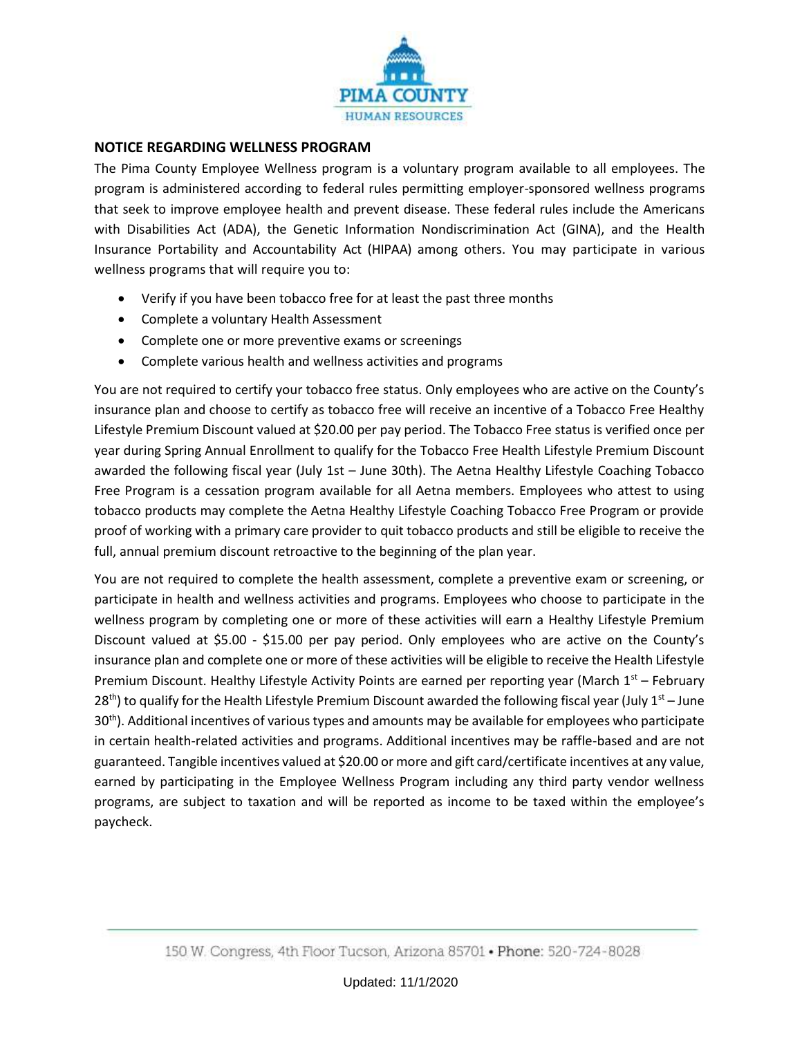

## **NOTICE REGARDING WELLNESS PROGRAM**

The Pima County Employee Wellness program is a voluntary program available to all employees. The program is administered according to federal rules permitting employer-sponsored wellness programs that seek to improve employee health and prevent disease. These federal rules include the Americans with Disabilities Act (ADA), the Genetic Information Nondiscrimination Act (GINA), and the Health Insurance Portability and Accountability Act (HIPAA) among others. You may participate in various wellness programs that will require you to:

- Verify if you have been tobacco free for at least the past three months
- Complete a voluntary Health Assessment
- Complete one or more preventive exams or screenings
- Complete various health and wellness activities and programs

You are not required to certify your tobacco free status. Only employees who are active on the County's insurance plan and choose to certify as tobacco free will receive an incentive of a Tobacco Free Healthy Lifestyle Premium Discount valued at \$20.00 per pay period. The Tobacco Free status is verified once per year during Spring Annual Enrollment to qualify for the Tobacco Free Health Lifestyle Premium Discount awarded the following fiscal year (July 1st – June 30th). The Aetna Healthy Lifestyle Coaching Tobacco Free Program is a cessation program available for all Aetna members. Employees who attest to using tobacco products may complete the Aetna Healthy Lifestyle Coaching Tobacco Free Program or provide proof of working with a primary care provider to quit tobacco products and still be eligible to receive the full, annual premium discount retroactive to the beginning of the plan year.

You are not required to complete the health assessment, complete a preventive exam or screening, or participate in health and wellness activities and programs. Employees who choose to participate in the wellness program by completing one or more of these activities will earn a Healthy Lifestyle Premium Discount valued at \$5.00 - \$15.00 per pay period. Only employees who are active on the County's insurance plan and complete one or more of these activities will be eligible to receive the Health Lifestyle Premium Discount. Healthy Lifestyle Activity Points are earned per reporting year (March  $1^{st}$  – February  $28<sup>th</sup>$ ) to qualify for the Health Lifestyle Premium Discount awarded the following fiscal year (July 1<sup>st</sup> – June 30<sup>th</sup>). Additional incentives of various types and amounts may be available for employees who participate in certain health-related activities and programs. Additional incentives may be raffle-based and are not guaranteed. Tangible incentives valued at \$20.00 or more and gift card/certificate incentives at any value, earned by participating in the Employee Wellness Program including any third party vendor wellness programs, are subject to taxation and will be reported as income to be taxed within the employee's paycheck.